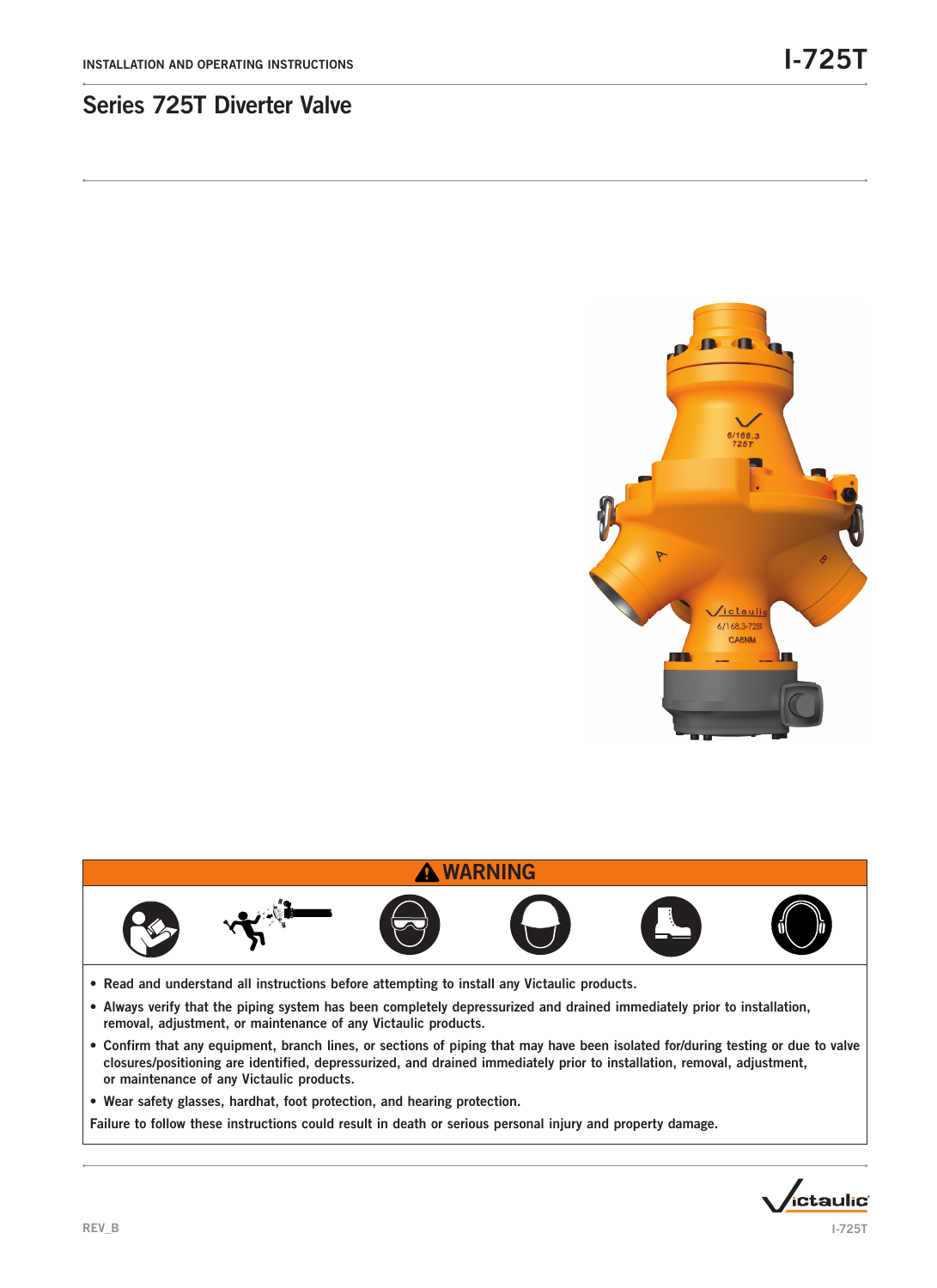

## **A WARNING**



- Read and understand all instructions before attempting to install any Victaulic products.
- Always verify that the piping system has been completely depressurized and drained immediately prior to installation, removal, adjustment, or maintenance of any Victaulic products.
- Confirm that any equipment, branch lines, or sections of piping that may have been isolated for/during testing or due to valve closures/positioning are identified, depressurized, and drained immediately prior to installation, removal, adjustment, or maintenance of any Victaulic products.
- Wear safety glasses, hardhat, foot protection, and hearing protection.

Failure to follow these instructions could result in death or serious personal injury and property damage.

*ictaulic*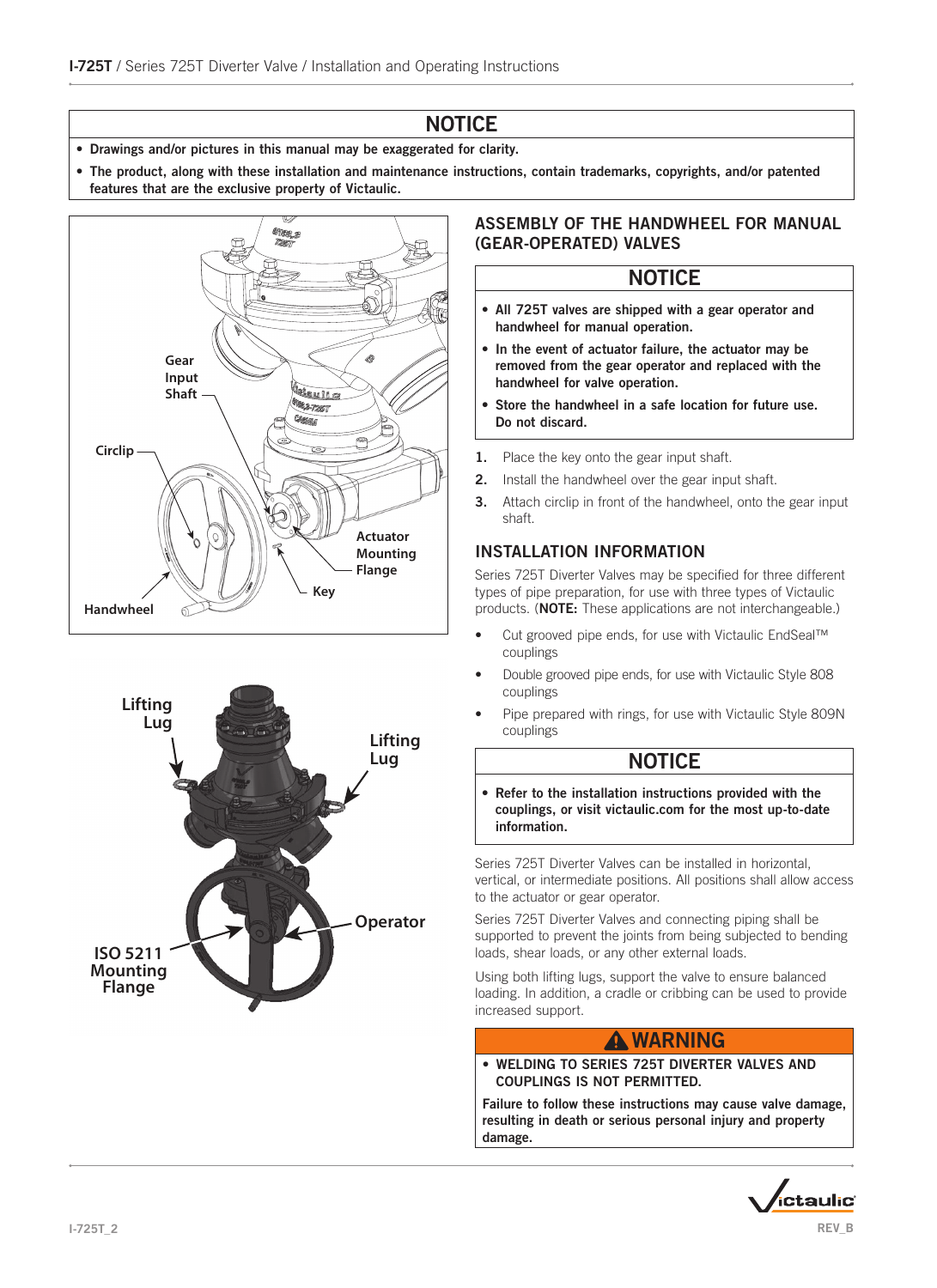# **NOTICE**

- Drawings and/or pictures in this manual may be exaggerated for clarity.
- The product, along with these installation and maintenance instructions, contain trademarks, copyrights, and/or patented features that are the exclusive property of Victaulic.





### ASSEMBLY OF THE HANDWHEEL FOR MANUAL (GEAR-OPERATED) VALVES

## **NOTICE**

- All 725T valves are shipped with a gear operator and handwheel for manual operation.
- In the event of actuator failure, the actuator may be removed from the gear operator and replaced with the handwheel for valve operation.
- Store the handwheel in a safe location for future use. Do not discard.
- 1. Place the key onto the gear input shaft.
- 2. Install the handwheel over the gear input shaft.
- **3.** Attach circlip in front of the handwheel, onto the gear input shaft.

### INSTALLATION INFORMATION

Series 725T Diverter Valves may be specified for three different types of pipe preparation, for use with three types of Victaulic products. (NOTE: These applications are not interchangeable.)

- Cut grooved pipe ends, for use with Victaulic EndSeal™ couplings
- Double grooved pipe ends, for use with Victaulic Style 808 couplings
- Pipe prepared with rings, for use with Victaulic Style 809N couplings

## **NOTICE**

• Refer to the installation instructions provided with the couplings, or visit victaulic.com for the most up-to-date information.

Series 725T Diverter Valves can be installed in horizontal, vertical, or intermediate positions. All positions shall allow access to the actuator or gear operator.

Series 725T Diverter Valves and connecting piping shall be supported to prevent the joints from being subjected to bending loads, shear loads, or any other external loads.

Using both lifting lugs, support the valve to ensure balanced loading. In addition, a cradle or cribbing can be used to provide increased support.

## **A WARNING**

• WELDING TO SERIES 725T DIVERTER VALVES AND COUPLINGS IS NOT PERMITTED.

Failure to follow these instructions may cause valve damage, resulting in death or serious personal injury and property damage.

ctaulic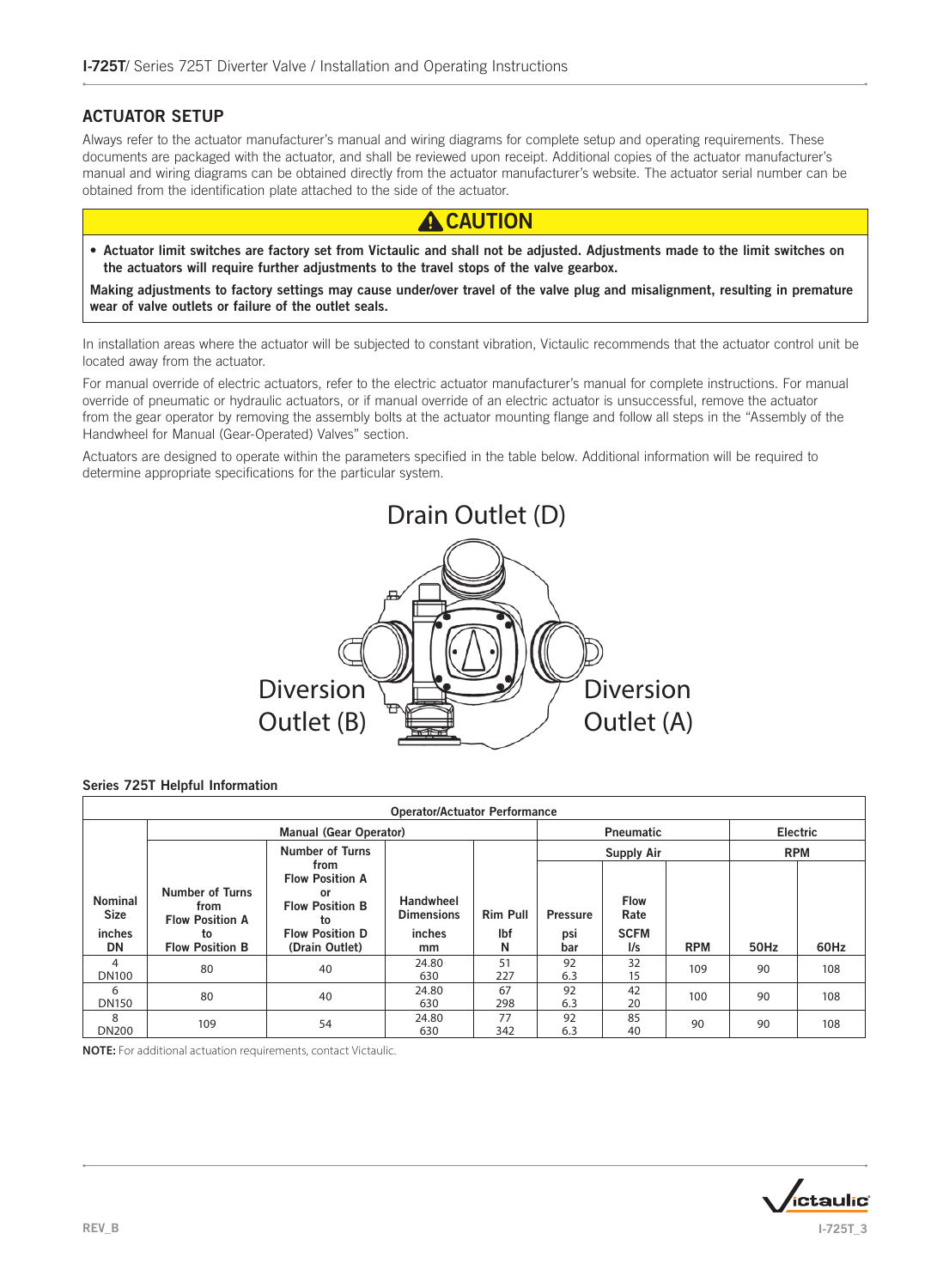#### ACTUATOR SETUP

Always refer to the actuator manufacturer's manual and wiring diagrams for complete setup and operating requirements. These documents are packaged with the actuator, and shall be reviewed upon receipt. Additional copies of the actuator manufacturer's manual and wiring diagrams can be obtained directly from the actuator manufacturer's website. The actuator serial number can be obtained from the identification plate attached to the side of the actuator.



• Actuator limit switches are factory set from Victaulic and shall not be adjusted. Adjustments made to the limit switches on the actuators will require further adjustments to the travel stops of the valve gearbox.

Making adjustments to factory settings may cause under/over travel of the valve plug and misalignment, resulting in premature wear of valve outlets or failure of the outlet seals.

In installation areas where the actuator will be subjected to constant vibration, Victaulic recommends that the actuator control unit be located away from the actuator.

For manual override of electric actuators, refer to the electric actuator manufacturer's manual for complete instructions. For manual override of pneumatic or hydraulic actuators, or if manual override of an electric actuator is unsuccessful, remove the actuator from the gear operator by removing the assembly bolts at the actuator mounting flange and follow all steps in the "Assembly of the Handwheel for Manual (Gear-Operated) Valves" section.

Actuators are designed to operate within the parameters specified in the table below. Additional information will be required to determine appropriate specifications for the particular system.



#### Series 725T Helpful Information

| <b>Operator/Actuator Performance</b>    |                                                                |                                                                                                |                                          |                        |                        |                                    |            |            |      |
|-----------------------------------------|----------------------------------------------------------------|------------------------------------------------------------------------------------------------|------------------------------------------|------------------------|------------------------|------------------------------------|------------|------------|------|
|                                         |                                                                | <b>Manual (Gear Operator)</b>                                                                  |                                          | <b>Pneumatic</b>       | Electric               |                                    |            |            |      |
|                                         |                                                                | <b>Number of Turns</b>                                                                         |                                          |                        | <b>Supply Air</b>      |                                    |            | <b>RPM</b> |      |
| <b>Nominal</b><br><b>Size</b><br>inches | <b>Number of Turns</b><br>from<br><b>Flow Position A</b><br>to | from<br><b>Flow Position A</b><br>or<br><b>Flow Position B</b><br>to<br><b>Flow Position D</b> | Handwheel<br><b>Dimensions</b><br>inches | <b>Rim Pull</b><br>lbf | <b>Pressure</b><br>psi | <b>Flow</b><br>Rate<br><b>SCFM</b> |            |            |      |
| DN                                      | <b>Flow Position B</b>                                         | (Drain Outlet)                                                                                 | mm                                       | N                      | bar                    | 1/s                                | <b>RPM</b> | 50Hz       | 60Hz |
| 4<br><b>DN100</b>                       | 80                                                             | 40                                                                                             | 24.80<br>630                             | 51<br>227              | 92<br>6.3              | 32<br>15                           | 109        | 90         | 108  |
| 6<br><b>DN150</b>                       | 80                                                             | 40                                                                                             | 24.80<br>630                             | 67<br>298              | 92<br>6.3              | 42<br>20                           | 100        | 90         | 108  |
| 8<br><b>DN200</b>                       | 109                                                            | 54                                                                                             | 24.80<br>630                             | 77<br>342              | 92<br>6.3              | 85<br>40                           | 90         | 90         | 108  |

**NOTE:** For additional actuation requirements, contact Victaulic.

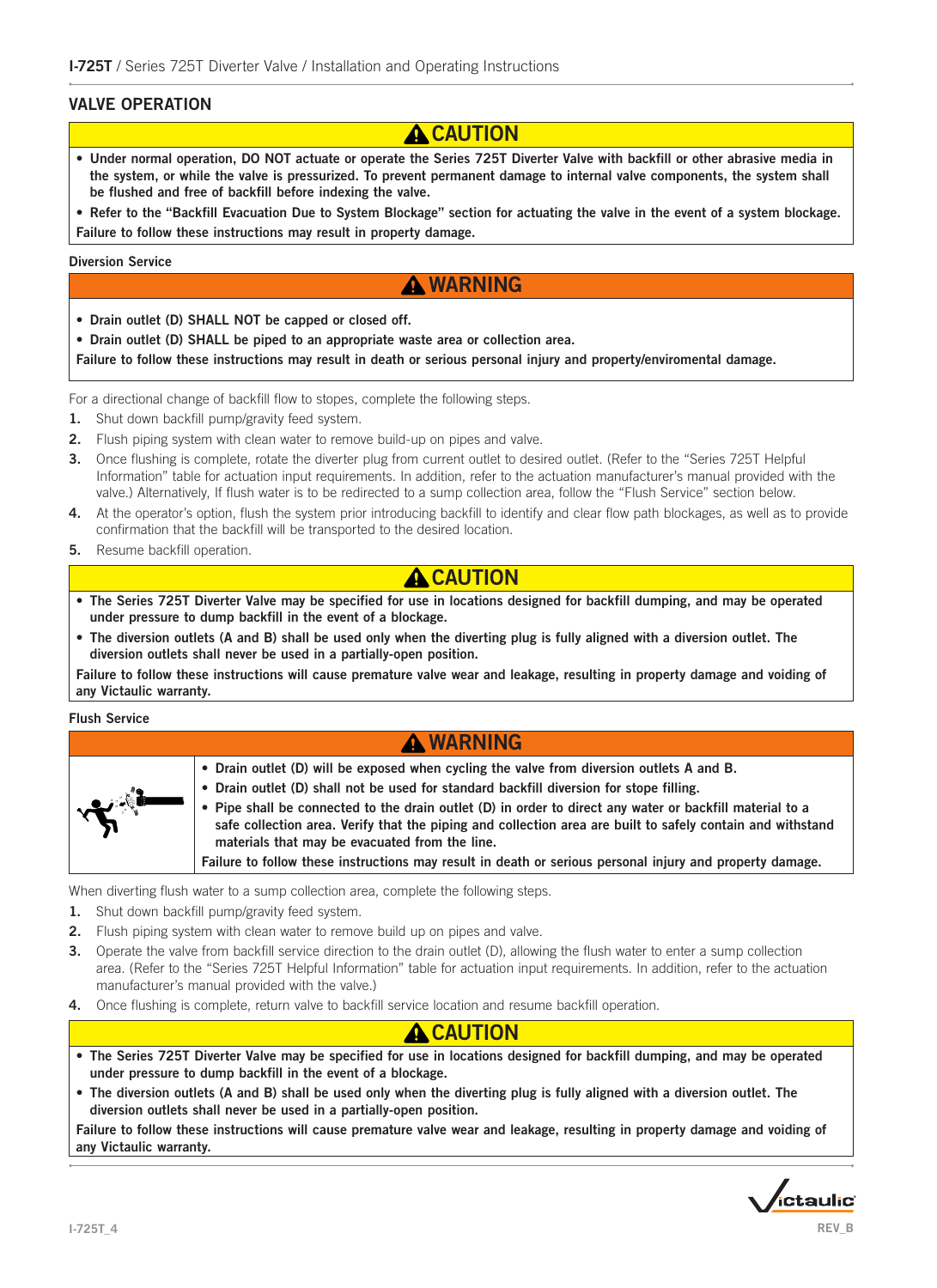#### VALVE OPERATION

# **A** CAUTION

• Under normal operation, DO NOT actuate or operate the Series 725T Diverter Valve with backfill or other abrasive media in the system, or while the valve is pressurized. To prevent permanent damage to internal valve components, the system shall be flushed and free of backfill before indexing the valve.

• Refer to the "Backfill Evacuation Due to System Blockage" section for actuating the valve in the event of a system blockage. Failure to follow these instructions may result in property damage.

#### Diversion Service

## **A WARNING**

- Drain outlet (D) SHALL NOT be capped or closed off.
- Drain outlet (D) SHALL be piped to an appropriate waste area or collection area.

Failure to follow these instructions may result in death or serious personal injury and property/enviromental damage.

For a directional change of backfill flow to stopes, complete the following steps.

- 1. Shut down backfill pump/gravity feed system.
- 2. Flush piping system with clean water to remove build-up on pipes and valve.
- 3. Once flushing is complete, rotate the diverter plug from current outlet to desired outlet. (Refer to the "Series 725T Helpful Information" table for actuation input requirements. In addition, refer to the actuation manufacturer's manual provided with the valve.) Alternatively, If flush water is to be redirected to a sump collection area, follow the "Flush Service" section below.
- 4. At the operator's option, flush the system prior introducing backfill to identify and clear flow path blockages, as well as to provide confirmation that the backfill will be transported to the desired location.
- **5.** Resume backfill operation.

## **A CAUTION**

- The Series 725T Diverter Valve may be specified for use in locations designed for backfill dumping, and may be operated under pressure to dump backfill in the event of a blockage.
- The diversion outlets (A and B) shall be used only when the diverting plug is fully aligned with a diversion outlet. The diversion outlets shall never be used in a partially-open position.

Failure to follow these instructions will cause premature valve wear and leakage, resulting in property damage and voiding of any Victaulic warranty.

Flush Service

| <b>A WARNING</b> |                                                                                                                                                                                                                                                                                                                                                                                                                                                                                                                                                                              |  |  |  |  |  |  |
|------------------|------------------------------------------------------------------------------------------------------------------------------------------------------------------------------------------------------------------------------------------------------------------------------------------------------------------------------------------------------------------------------------------------------------------------------------------------------------------------------------------------------------------------------------------------------------------------------|--|--|--|--|--|--|
|                  | . Drain outlet (D) will be exposed when cycling the valve from diversion outlets A and B.<br>. Drain outlet (D) shall not be used for standard backfill diversion for stope filling.<br>. Pipe shall be connected to the drain outlet (D) in order to direct any water or backfill material to a<br>safe collection area. Verify that the piping and collection area are built to safely contain and withstand<br>materials that may be evacuated from the line.<br>Failure to follow these instructions may result in death or serious personal injury and property damage. |  |  |  |  |  |  |
|                  |                                                                                                                                                                                                                                                                                                                                                                                                                                                                                                                                                                              |  |  |  |  |  |  |

When diverting flush water to a sump collection area, complete the following steps.

- 1. Shut down backfill pump/gravity feed system.
- 2. Flush piping system with clean water to remove build up on pipes and valve.
- **3.** Operate the valve from backfill service direction to the drain outlet (D), allowing the flush water to enter a sump collection area. (Refer to the "Series 725T Helpful Information" table for actuation input requirements. In addition, refer to the actuation manufacturer's manual provided with the valve.)
- 4. Once flushing is complete, return valve to backfill service location and resume backfill operation.

## **CAUTION**

- The Series 725T Diverter Valve may be specified for use in locations designed for backfill dumping, and may be operated under pressure to dump backfill in the event of a blockage.
- The diversion outlets (A and B) shall be used only when the diverting plug is fully aligned with a diversion outlet. The diversion outlets shall never be used in a partially-open position.

Failure to follow these instructions will cause premature valve wear and leakage, resulting in property damage and voiding of any Victaulic warranty.

*i*ctaulic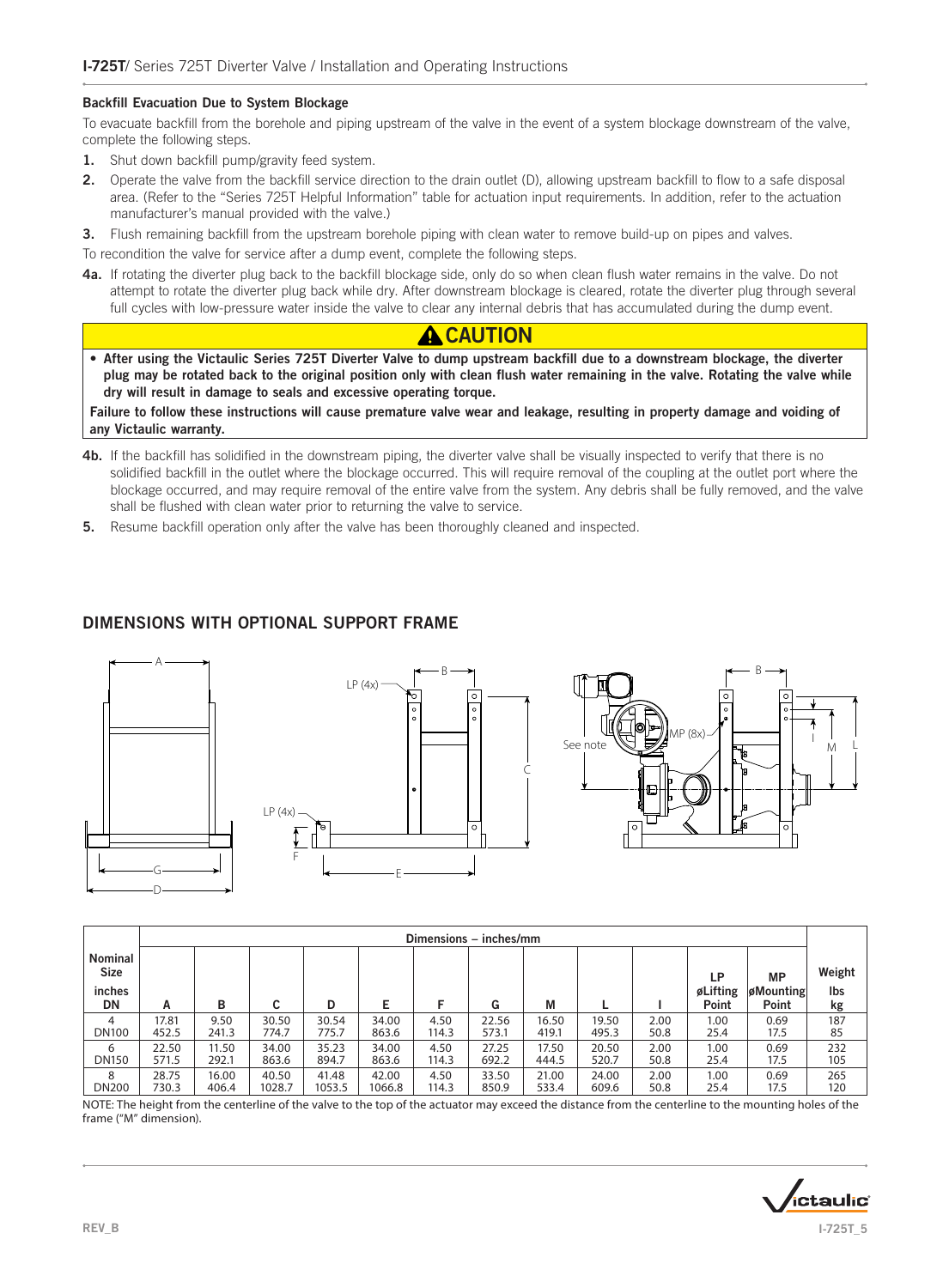#### Backfill Evacuation Due to System Blockage

To evacuate backfill from the borehole and piping upstream of the valve in the event of a system blockage downstream of the valve, complete the following steps.

- 1. Shut down backfill pump/gravity feed system.
- 2. Operate the valve from the backfill service direction to the drain outlet (D), allowing upstream backfill to flow to a safe disposal area. (Refer to the "Series 725T Helpful Information" table for actuation input requirements. In addition, refer to the actuation manufacturer's manual provided with the valve.)
- 3. Flush remaining backfill from the upstream borehole piping with clean water to remove build-up on pipes and valves.

To recondition the valve for service after a dump event, complete the following steps.

4a. If rotating the diverter plug back to the backfill blockage side, only do so when clean flush water remains in the valve. Do not attempt to rotate the diverter plug back while dry. After downstream blockage is cleared, rotate the diverter plug through several full cycles with low-pressure water inside the valve to clear any internal debris that has accumulated during the dump event.



• After using the Victaulic Series 725T Diverter Valve to dump upstream backfill due to a downstream blockage, the diverter plug may be rotated back to the original position only with clean flush water remaining in the valve. Rotating the valve while dry will result in damage to seals and excessive operating torque.

Failure to follow these instructions will cause premature valve wear and leakage, resulting in property damage and voiding of any Victaulic warranty.

- 4b. If the backfill has solidified in the downstream piping, the diverter valve shall be visually inspected to verify that there is no solidified backfill in the outlet where the blockage occurred. This will require removal of the coupling at the outlet port where the blockage occurred, and may require removal of the entire valve from the system. Any debris shall be fully removed, and the valve shall be flushed with clean water prior to returning the valve to service.
- **5.** Resume backfill operation only after the valve has been thoroughly cleaned and inspected.

### DIMENSIONS WITH OPTIONAL SUPPORT FRAME





|                                                      | Dimensions - inches/mm |       |        |        |        |       |       |       |       |      |                         |                                 |                     |
|------------------------------------------------------|------------------------|-------|--------|--------|--------|-------|-------|-------|-------|------|-------------------------|---------------------------------|---------------------|
| <b>Nominal</b><br><b>Size</b><br>inches<br><b>DN</b> | А                      | в     | С      | D      |        |       | G     | M     |       |      | LP<br>øLifting<br>Point | <b>MP</b><br>øMounting<br>Point | Weight<br>Ibs<br>kg |
| 4                                                    | 17.81                  | 9.50  | 30.50  | 30.54  | 34.00  | 4.50  | 22.56 | 16.50 | 19.50 | 2.00 | 1.00                    | 0.69                            | 187                 |
| <b>DN100</b>                                         | 452.5                  | 241.3 | 774.7  | 775.7  | 863.6  | 114.3 | 573.1 | 419.1 | 495.3 | 50.8 | 25.4                    | 17.5                            | 85                  |
| 6                                                    | 22.50                  | 11.50 | 34.00  | 35.23  | 34.00  | 4.50  | 27.25 | 17.50 | 20.50 | 2.00 | 1.00                    | 0.69                            | 232                 |
| <b>DN150</b>                                         | 571.5                  | 292.1 | 863.6  | 894.7  | 863.6  | 114.3 | 692.2 | 444.5 | 520.7 | 50.8 | 25.4                    | 17.5                            | 105                 |
| 8                                                    | 28.75                  | 16.00 | 40.50  | 41.48  | 42.00  | 4.50  | 33.50 | 21.00 | 24.00 | 2.00 | 1.00                    | 0.69                            | 265                 |
| <b>DN200</b>                                         | 730.3                  | 406.4 | 1028.7 | 1053.5 | 1066.8 | 114.3 | 850.9 | 533.4 | 609.6 | 50.8 | 25.4                    | 17.5                            | 120                 |

NOTE: The height from the centerline of the valve to the top of the actuator may exceed the distance from the centerline to the mounting holes of the frame ("M" dimension).

ctaulic REV\_B I-725T\_5